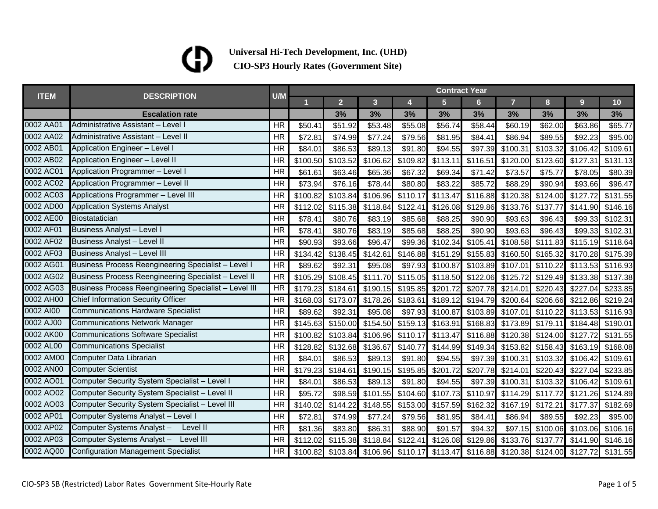| <b>ITEM</b> |                                                       | U/M       | <b>Contract Year</b> |                |          |          |                |                                                       |                |          |                                                                                                                                                                                                                                                                                                               |          |  |
|-------------|-------------------------------------------------------|-----------|----------------------|----------------|----------|----------|----------------|-------------------------------------------------------|----------------|----------|---------------------------------------------------------------------------------------------------------------------------------------------------------------------------------------------------------------------------------------------------------------------------------------------------------------|----------|--|
|             | <b>DESCRIPTION</b>                                    |           | 1                    | 2 <sup>1</sup> | 3        | 4        | $5\phantom{.}$ | $6 \overline{6}$                                      | $\overline{7}$ | 8        | 9<br>3%<br>\$63.86<br>\$92.23<br>\$106.42<br>\$127.31<br>\$78.05<br>\$93.66<br>\$127.72<br>\$141.90<br>\$99.33<br>\$99.33<br>\$115.19<br>\$170.28<br>\$113.53<br>\$133.38<br>\$227.04<br>\$212.86<br>\$113.53<br>\$184.48<br>\$127.72<br>\$163.19<br>\$106.42<br>\$227.04<br>\$106.42<br>\$121.26<br>\$177.37 | 10       |  |
|             | <b>Escalation rate</b>                                |           |                      | 3%             | 3%       | 3%       | 3%             | 3%                                                    | 3%             | 3%       |                                                                                                                                                                                                                                                                                                               | 3%       |  |
| 0002 AA01   | Administrative Assistant - Level I                    | <b>HR</b> | \$50.41              | \$51.92        | \$53.48  | \$55.08  | \$56.74        | \$58.44                                               | \$60.19        | \$62.00  |                                                                                                                                                                                                                                                                                                               | \$65.77  |  |
| 0002 AA02   | Administrative Assistant - Level II                   | <b>HR</b> | \$72.81              | \$74.99        | \$77.24  | \$79.56  | \$81.95        | \$84.41                                               | \$86.94        | \$89.55  |                                                                                                                                                                                                                                                                                                               | \$95.00  |  |
| 0002 AB01   | <b>Application Engineer - Level I</b>                 | <b>HR</b> | \$84.01              | \$86.53        | \$89.13  | \$91.80  | \$94.55        | \$97.39                                               | \$100.31       | \$103.32 |                                                                                                                                                                                                                                                                                                               | \$109.61 |  |
| 0002 AB02   | Application Engineer - Level II                       | <b>HR</b> | \$100.50             | \$103.52       | \$106.62 | \$109.82 | \$113.11       | \$116.51                                              | \$120.00       | \$123.60 |                                                                                                                                                                                                                                                                                                               | \$131.13 |  |
| 0002 AC01   | Application Programmer - Level I                      | <b>HR</b> | \$61.61              | \$63.46        | \$65.36  | \$67.32  | \$69.34        | \$71.42                                               | \$73.57        | \$75.77  |                                                                                                                                                                                                                                                                                                               | \$80.39  |  |
| 0002 AC02   | Application Programmer - Level II                     | <b>HR</b> | \$73.94              | \$76.16        | \$78.44  | \$80.80  | \$83.22        | \$85.72                                               | \$88.29        | \$90.94  |                                                                                                                                                                                                                                                                                                               | \$96.47  |  |
| 0002 AC03   | Applications Programmer - Level III                   | <b>HR</b> | \$100.82             | \$103.84       | \$106.96 | \$110.17 | \$113.47       | \$116.88                                              | \$120.38       | \$124.00 |                                                                                                                                                                                                                                                                                                               | \$131.55 |  |
| 0002 AD00   | <b>Application Systems Analyst</b>                    | <b>HR</b> | \$112.02             | \$115.38       | \$118.84 | \$122.41 | \$126.08       | \$129.86                                              | \$133.76       | \$137.77 |                                                                                                                                                                                                                                                                                                               | \$146.16 |  |
| 0002 AE00   | Biostatatician                                        | <b>HR</b> | \$78.41              | \$80.76        | \$83.19  | \$85.68  | \$88.25        | \$90.90                                               | \$93.63        | \$96.43  |                                                                                                                                                                                                                                                                                                               | \$102.31 |  |
| 0002 AF01   | <b>Business Analyst - Level I</b>                     | <b>HR</b> | \$78.41              | \$80.76        | \$83.19  | \$85.68  | \$88.25        | \$90.90                                               | \$93.63        | \$96.43  |                                                                                                                                                                                                                                                                                                               | \$102.31 |  |
| 0002 AF02   | <b>Business Analyst - Level II</b>                    | <b>HR</b> | \$90.93              | \$93.66        | \$96.47  | \$99.36  | \$102.34       | \$105.41                                              | \$108.58       | \$111.83 |                                                                                                                                                                                                                                                                                                               | \$118.64 |  |
| 0002 AF03   | <b>Business Analyst - Level III</b>                   | <b>HR</b> | \$134.42             | \$138.45       | \$142.61 | \$146.88 | \$151.29       | \$155.83                                              | \$160.50       | \$165.32 |                                                                                                                                                                                                                                                                                                               | \$175.39 |  |
| 0002 AG01   | Business Process Reengineering Specialist - Level I   | <b>HR</b> | \$89.62              | \$92.31        | \$95.08  | \$97.93  | \$100.87       | \$103.89                                              | \$107.01       | \$110.22 |                                                                                                                                                                                                                                                                                                               | \$116.93 |  |
| 0002 AG02   | Business Process Reengineering Specialist - Level II  | <b>HR</b> | \$105.29             | \$108.45       | \$111.70 | \$115.05 |                | \$118.50 \$122.06                                     | \$125.72       | \$129.49 |                                                                                                                                                                                                                                                                                                               | \$137.38 |  |
| 0002 AG03   | Business Process Reengineering Specialist - Level III | <b>HR</b> | \$179.23             | \$184.61       | \$190.15 | \$195.85 | \$201.72       | \$207.78                                              | \$214.01       | \$220.43 |                                                                                                                                                                                                                                                                                                               | \$233.85 |  |
| 0002 AH00   | Chief Information Security Officer                    | <b>HR</b> | \$168.03             | \$173.07       | \$178.26 | \$183.61 | \$189.12       | \$194.79                                              | \$200.64       | \$206.66 |                                                                                                                                                                                                                                                                                                               | \$219.24 |  |
| 0002 AI00   | <b>Communications Hardware Specialist</b>             | <b>HR</b> | \$89.62              | \$92.31        | \$95.08  | \$97.93  | \$100.87       | \$103.89                                              | \$107.01       | \$110.22 |                                                                                                                                                                                                                                                                                                               | \$116.93 |  |
| 0002 AJ00   | Communications Network Manager                        | <b>HR</b> | \$145.63             | \$150.00       | \$154.50 | \$159.13 | \$163.91       | \$168.83                                              | \$173.89       | \$179.11 |                                                                                                                                                                                                                                                                                                               | \$190.01 |  |
| 0002 AK00   | <b>Communications Software Specialist</b>             | <b>HR</b> | \$100.82             | \$103.84       | \$106.96 | \$110.17 | \$113.47       | \$116.88                                              | \$120.38       | \$124.00 |                                                                                                                                                                                                                                                                                                               | \$131.55 |  |
| 0002 AL00   | <b>Communications Specialist</b>                      | <b>HR</b> | \$128.82             | \$132.68       | \$136.67 | \$140.77 | \$144.99       | \$149.34                                              | \$153.82       | \$158.43 |                                                                                                                                                                                                                                                                                                               | \$168.08 |  |
| 0002 AM00   | Computer Data Librarian                               | <b>HR</b> | \$84.01              | \$86.53        | \$89.13  | \$91.80  | \$94.55        | \$97.39                                               | \$100.31       | \$103.32 |                                                                                                                                                                                                                                                                                                               | \$109.61 |  |
| 0002 AN00   | <b>Computer Scientist</b>                             | <b>HR</b> | \$179.23             | \$184.61       | \$190.15 | \$195.85 | \$201.72       | \$207.78]                                             | \$214.01       | \$220.43 |                                                                                                                                                                                                                                                                                                               | \$233.85 |  |
| 0002 AO01   | Computer Security System Specialist - Level I         | <b>HR</b> | \$84.01              | \$86.53        | \$89.13  | \$91.80  | \$94.55        | \$97.39                                               | \$100.31       | \$103.32 |                                                                                                                                                                                                                                                                                                               | \$109.61 |  |
| 0002 AO02   | Computer Security System Specialist - Level II        | <b>HR</b> | \$95.72              | \$98.59        | \$101.55 | \$104.60 | \$107.73       | \$110.97                                              | \$114.29       | \$117.72 |                                                                                                                                                                                                                                                                                                               | \$124.89 |  |
| 0002 AO03   | Computer Security System Specialist - Level III       | <b>HR</b> | \$140.02             | \$144.22       | \$148.55 | \$153.00 | \$157.59       | \$162.32                                              | \$167.19       | \$172.21 |                                                                                                                                                                                                                                                                                                               | \$182.69 |  |
| 0002 AP01   | Computer Systems Analyst - Level I                    | <b>HR</b> | \$72.81              | \$74.99        | \$77.24  | \$79.56  | \$81.95        | \$84.41                                               | \$86.94        | \$89.55  | \$92.23                                                                                                                                                                                                                                                                                                       | \$95.00  |  |
| 0002 AP02   | Computer Systems Analyst -<br>Level II                | <b>HR</b> | \$81.36              | \$83.80        | \$86.31  | \$88.90  | \$91.57        | \$94.32                                               | \$97.15        | \$100.06 | \$103.06                                                                                                                                                                                                                                                                                                      | \$106.16 |  |
| 0002 AP03   | Computer Systems Analyst - Level III                  | <b>HR</b> | \$112.02             | \$115.38       | \$118.84 | \$122.41 | \$126.08       | \$129.86                                              | \$133.76       | \$137.77 | \$141.90                                                                                                                                                                                                                                                                                                      | \$146.16 |  |
| 0002 AQ00   | <b>Configuration Management Specialist</b>            | <b>HR</b> | \$100.82             |                |          |          |                | \$103.84 \$106.96 \$110.17 \$113.47 \$116.88 \$120.38 |                | \$124.00 | \$127.72                                                                                                                                                                                                                                                                                                      | \$131.55 |  |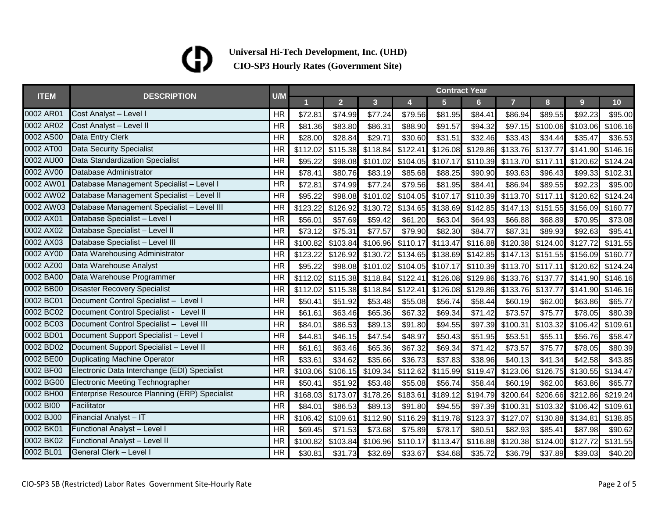|             | <b>DESCRIPTION</b>                                   | U/M       | <b>Contract Year</b> |                |          |          |                |                |                |          |          |          |  |
|-------------|------------------------------------------------------|-----------|----------------------|----------------|----------|----------|----------------|----------------|----------------|----------|----------|----------|--|
| <b>ITEM</b> |                                                      |           |                      | 2 <sup>1</sup> | 3        | 4        | 5 <sub>5</sub> | 6 <sup>1</sup> | $\overline{7}$ | 8        | 9        | 10       |  |
| 0002 AR01   | Cost Analyst - Level I                               | <b>HR</b> | \$72.81              | \$74.99        | \$77.24  | \$79.56  | \$81.95        | \$84.41        | \$86.94        | \$89.55  | \$92.23  | \$95.00  |  |
| 0002 AR02   | Cost Analyst - Level II                              | <b>HR</b> | \$81.36              | \$83.80        | \$86.31  | \$88.90  | \$91.57        | \$94.32        | \$97.15        | \$100.06 | \$103.06 | \$106.16 |  |
| 0002 AS00   | Data Entry Clerk                                     | <b>HR</b> | \$28.00              | \$28.84        | \$29.71  | \$30.60  | \$31.51        | \$32.46        | \$33.43        | \$34.44  | \$35.47  | \$36.53  |  |
| 0002 AT00   | <b>Data Security Specialist</b>                      | <b>HR</b> | \$112.02             | \$115.38       | \$118.84 | \$122.41 | \$126.08       | \$129.86       | \$133.76       | \$137.77 | \$141.90 | \$146.16 |  |
| 0002 AU00   | <b>Data Standardization Specialist</b>               | <b>HR</b> | \$95.22              | \$98.08        | \$101.02 | \$104.05 | \$107.17       | \$110.39       | \$113.70       | \$117.11 | \$120.62 | \$124.24 |  |
| 0002 AV00   | Database Administrator                               | <b>HR</b> | \$78.41              | \$80.76        | \$83.19  | \$85.68  | \$88.25        | \$90.90        | \$93.63        | \$96.43  | \$99.33  | \$102.31 |  |
| 0002 AW01   | Database Management Specialist - Level I             | <b>HR</b> | \$72.81              | \$74.99        | \$77.24  | \$79.56  | \$81.95        | \$84.41        | \$86.94        | \$89.55  | \$92.23  | \$95.00  |  |
| 0002 AW02   | Database Management Specialist - Level II            | <b>HR</b> | \$95.22              | \$98.08        | \$101.02 | \$104.05 | \$107.17       | \$110.39       | \$113.70       | \$117.11 | \$120.62 | \$124.24 |  |
| 0002 AW03   | Database Management Specialist - Level III           | <b>HR</b> | \$123.22             | \$126.92       | \$130.72 | \$134.65 | \$138.69       | \$142.85       | \$147.13       | \$151.55 | \$156.09 | \$160.77 |  |
| 0002 AX01   | Database Specialist - Level I                        | <b>HR</b> | \$56.01              | \$57.69        | \$59.42  | \$61.20  | \$63.04        | \$64.93        | \$66.88        | \$68.89  | \$70.95  | \$73.08  |  |
| 0002 AX02   | Database Specialist - Level II                       | <b>HR</b> | \$73.12              | \$75.31        | \$77.57  | \$79.90  | \$82.30        | \$84.77        | \$87.31        | \$89.93  | \$92.63  | \$95.41  |  |
| 0002 AX03   | Database Specialist - Level III                      | <b>HR</b> | \$100.82             | \$103.84       | \$106.96 | \$110.17 | \$113.47       | \$116.88       | \$120.38       | \$124.00 | \$127.72 | \$131.55 |  |
| 0002 AY00   | Data Warehousing Administrator                       | <b>HR</b> | \$123.22             | \$126.92       | \$130.72 | \$134.65 | \$138.69       | \$142.85       | \$147.13       | \$151.55 | \$156.09 | \$160.77 |  |
| 0002 AZ00   | Data Warehouse Analyst                               | <b>HR</b> | \$95.22              | \$98.08        | \$101.02 | \$104.05 | \$107.17       | \$110.39       | \$113.70       | \$117.11 | \$120.62 | \$124.24 |  |
| 0002 BA00   | Data Warehouse Programmer                            | <b>HR</b> | \$112.02             | \$115.38       | \$118.84 | \$122.41 | \$126.08       | \$129.86       | \$133.76       | \$137.77 | \$141.90 | \$146.16 |  |
| 0002 BB00   | <b>Disaster Recovery Specialist</b>                  | <b>HR</b> | \$112.02             | \$115.38       | \$118.84 | \$122.41 | \$126.08       | \$129.86       | \$133.76       | \$137.77 | \$141.90 | \$146.16 |  |
| 0002 BC01   | Document Control Specialist - Level I                | <b>HR</b> | \$50.41              | \$51.92        | \$53.48  | \$55.08  | \$56.74        | \$58.44        | \$60.19        | \$62.00  | \$63.86  | \$65.77  |  |
| 0002 BC02   | Document Control Specialist - Level II               | <b>HR</b> | \$61.61              | \$63.46        | \$65.36  | \$67.32  | \$69.34        | \$71.42        | \$73.57        | \$75.77  | \$78.05  | \$80.39  |  |
| 0002 BC03   | Document Control Specialist - Level III              | <b>HR</b> | \$84.01              | \$86.53        | \$89.13  | \$91.80  | \$94.55        | \$97.39        | \$100.31       | \$103.32 | \$106.42 | \$109.61 |  |
| 0002 BD01   | Document Support Specialist - Level I                | <b>HR</b> | \$44.81              | \$46.15        | \$47.54  | \$48.97  | \$50.43        | \$51.95        | \$53.51        | \$55.11  | \$56.76  | \$58.47  |  |
| 0002 BD02   | Document Support Specialist - Level II               | <b>HR</b> | \$61.61              | \$63.46        | \$65.36  | \$67.32  | \$69.34        | \$71.42        | \$73.57        | \$75.77  | \$78.05  | \$80.39  |  |
| 0002 BE00   | <b>Duplicating Machine Operator</b>                  | <b>HR</b> | \$33.61              | \$34.62        | \$35.66  | \$36.73  | \$37.83        | \$38.96        | \$40.13        | \$41.34  | \$42.58  | \$43.85  |  |
| 0002 BF00   | Electronic Data Interchange (EDI) Specialist         | <b>HR</b> | \$103.06             | \$106.15       | \$109.34 | \$112.62 | \$115.99       | \$119.47       | \$123.06       | \$126.75 | \$130.55 | \$134.47 |  |
| 0002 BG00   | Electronic Meeting Technographer                     | <b>HR</b> | \$50.41              | \$51.92        | \$53.48  | \$55.08  | \$56.74        | \$58.44        | \$60.19        | \$62.00  | \$63.86  | \$65.77  |  |
| 0002 BH00   | <b>Enterprise Resource Planning (ERP) Specialist</b> | <b>HR</b> | \$168.03             | \$173.07       | \$178.26 | \$183.61 | \$189.12       | \$194.79       | \$200.64       | \$206.66 | \$212.86 | \$219.24 |  |
| 0002 BI00   | Facilitator                                          | <b>HR</b> | \$84.01              | \$86.53        | \$89.13  | \$91.80  | \$94.55        | \$97.39        | \$100.31       | \$103.32 | \$106.42 | \$109.61 |  |
| 0002 BJ00   | Financial Analyst - IT                               | <b>HR</b> | \$106.42             | \$109.61       | \$112.90 | \$116.29 | \$119.78       | \$123.37       | \$127.07       | \$130.88 | \$134.81 | \$138.85 |  |
| 0002 BK01   | Functional Analyst - Level I                         | <b>HR</b> | \$69.45              | \$71.53        | \$73.68  | \$75.89  | \$78.17        | \$80.51        | \$82.93        | \$85.41  | \$87.98  | \$90.62  |  |
| 0002 BK02   | Functional Analyst - Level II                        | <b>HR</b> | \$100.82             | \$103.84       | \$106.96 | \$110.17 | \$113.47       | \$116.88       | \$120.38       | \$124.00 | \$127.72 | \$131.55 |  |
| 0002 BL01   | General Clerk - Level I                              | <b>HR</b> | \$30.81              | \$31.73        | \$32.69  | \$33.67  | \$34.68        | \$35.72        | \$36.79        | \$37.89  | \$39.03  | \$40.20  |  |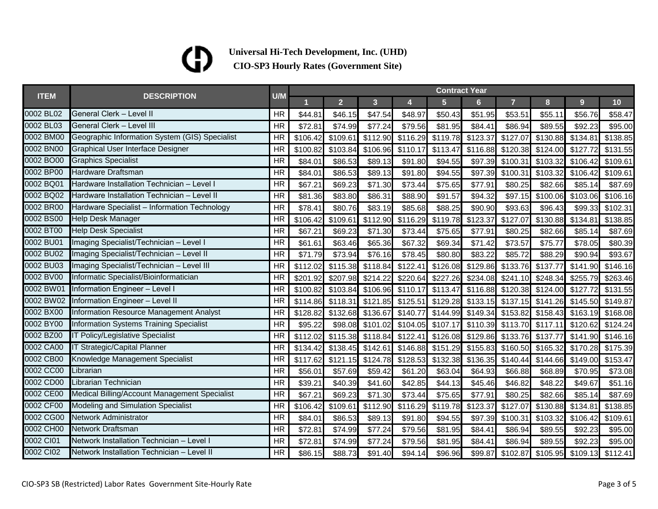| <b>ITEM</b> | <b>DESCRIPTION</b>                             | U/M       | <b>Contract Year</b> |                |          |          |                |          |                |          |                |          |  |
|-------------|------------------------------------------------|-----------|----------------------|----------------|----------|----------|----------------|----------|----------------|----------|----------------|----------|--|
|             |                                                |           |                      | 2 <sup>1</sup> | 3        | 4        | 5 <sup>5</sup> | 6        | $\overline{7}$ | 8        | 9 <sup>°</sup> | 10       |  |
| 0002 BL02   | General Clerk - Level II                       | <b>HR</b> | \$44.81              | \$46.15        | \$47.54  | \$48.97  | \$50.43        | \$51.95  | \$53.51        | \$55.11  | \$56.76        | \$58.47  |  |
| 0002 BL03   | General Clerk - Level III                      | <b>HR</b> | \$72.81              | \$74.99        | \$77.24  | \$79.56  | \$81.95        | \$84.41  | \$86.94        | \$89.55  | \$92.23        | \$95.00  |  |
| 0002 BM00   | Geographic Information System (GIS) Specialist | <b>HR</b> | \$106.42             | \$109.61       | \$112.90 | \$116.29 | \$119.78       | \$123.37 | \$127.07       | \$130.88 | \$134.81       | \$138.85 |  |
| 0002 BN00   | <b>Graphical User Interface Designer</b>       | <b>HR</b> | \$100.82             | \$103.84       | \$106.96 | \$110.17 | \$113.47       | \$116.88 | \$120.38       | \$124.00 | \$127.72       | \$131.55 |  |
| 0002 BO00   | <b>Graphics Specialist</b>                     | <b>HR</b> | \$84.0'              | \$86.53        | \$89.13  | \$91.80  | \$94.55        | \$97.39  | \$100.31       | \$103.32 | \$106.42       | \$109.61 |  |
| 0002 BP00   | Hardware Draftsman                             | <b>HR</b> | \$84.01              | \$86.53        | \$89.13  | \$91.80  | \$94.55        | \$97.39  | \$100.31       | \$103.32 | \$106.42       | \$109.61 |  |
| 0002 BQ01   | Hardware Installation Technician - Level I     | <b>HR</b> | \$67.21              | \$69.23        | \$71.30  | \$73.44  | \$75.65        | \$77.91  | \$80.25        | \$82.66  | \$85.14        | \$87.69  |  |
| 0002 BQ02   | Hardware Installation Technician - Level II    | <b>HR</b> | \$81.36              | \$83.80        | \$86.31  | \$88.90  | \$91.57        | \$94.32  | \$97.15        | \$100.06 | \$103.06       | \$106.16 |  |
| 0002 BR00   | Hardware Specialist - Information Technology   | <b>HR</b> | \$78.41              | \$80.76        | \$83.19  | \$85.68  | \$88.25        | \$90.90  | \$93.63        | \$96.43  | \$99.33        | \$102.31 |  |
| 0002 BS00   | <b>Help Desk Manager</b>                       | <b>HR</b> | \$106.42             | \$109.61       | \$112.90 | \$116.29 | \$119.78       | \$123.37 | \$127.07       | \$130.88 | \$134.81       | \$138.85 |  |
| 0002 BT00   | <b>Help Desk Specialist</b>                    | <b>HR</b> | \$67.21              | \$69.23        | \$71.30  | \$73.44  | \$75.65        | \$77.9'  | \$80.25        | \$82.66  | \$85.14        | \$87.69  |  |
| 0002 BU01   | Imaging Specialist/Technician - Level I        | <b>HR</b> | \$61.61              | \$63.46        | \$65.36  | \$67.32  | \$69.34        | \$71.42  | \$73.57        | \$75.77  | \$78.05        | \$80.39  |  |
| 0002 BU02   | Imaging Specialist/Technician - Level II       | <b>HR</b> | \$71.79              | \$73.94        | \$76.16  | \$78.45  | \$80.80        | \$83.22  | \$85.72        | \$88.29  | \$90.94        | \$93.67  |  |
| 0002 BU03   | Imaging Specialist/Technician - Level III      | <b>HR</b> | \$112.02             | \$115.38       | \$118.84 | \$122.41 | \$126.08       | \$129.86 | \$133.76       | \$137.77 | \$141.90       | \$146.16 |  |
| 0002 BV00   | Informatic Specialist/Bioinformatician         | <b>HR</b> | \$201.92             | \$207.98       | \$214.22 | \$220.64 | \$227.26       | \$234.08 | \$241.10       | \$248.34 | \$255.79       | \$263.46 |  |
| 0002 BW01   | Information Engineer - Level I                 | <b>HR</b> | \$100.82             | \$103.84       | \$106.96 | \$110.17 | \$113.47       | \$116.88 | \$120.38       | \$124.00 | \$127.72       | \$131.55 |  |
| 0002 BW02   | Information Engineer - Level II                | <b>HR</b> | \$114.86             | \$118.31       | \$121.85 | \$125.51 | \$129.28       | \$133.15 | \$137.15       | \$141.26 | \$145.50       | \$149.87 |  |
| 0002 BX00   | Information Resource Management Analyst        | <b>HR</b> | \$128.82             | \$132.68       | \$136.67 | \$140.77 | \$144.99       | \$149.34 | \$153.82       | \$158.43 | \$163.19       | \$168.08 |  |
| 0002 BY00   | <b>Information Systems Training Specialist</b> | <b>HR</b> | \$95.22              | \$98.08        | \$101.02 | \$104.05 | \$107.17       | \$110.39 | \$113.70       | \$117.11 | \$120.62       | \$124.24 |  |
| 0002 BZ00   | IT Policy/Legislative Specialist               | <b>HR</b> | \$112.02             | \$115.38       | \$118.84 | \$122.41 | \$126.08       | \$129.86 | \$133.76       | \$137.77 | \$141.90       | \$146.16 |  |
| 0002 CA00   | <b>IT Strategic/Capital Planner</b>            | <b>HR</b> | \$134.42             | \$138.45       | \$142.61 | \$146.88 | \$151.29       | \$155.83 | \$160.50       | \$165.32 | \$170.28       | \$175.39 |  |
| 0002 CB00   | Knowledge Management Specialist                | <b>HR</b> | \$117.62             | \$121.15       | \$124.78 | \$128.53 | \$132.38       | \$136.35 | \$140.44       | \$144.66 | \$149.00       | \$153.47 |  |
| 0002 CC00   | Librarian                                      | <b>HR</b> | \$56.01              | \$57.69        | \$59.42  | \$61.20  | \$63.04        | \$64.93  | \$66.88        | \$68.89  | \$70.95        | \$73.08  |  |
| 0002 CD00   | Librarian Technician                           | <b>HR</b> | \$39.2'              | \$40.39        | \$41.60  | \$42.85  | \$44.13        | \$45.46  | \$46.82        | \$48.22  | \$49.67        | \$51.16  |  |
| 0002 CE00   | Medical Billing/Account Management Specialist  | <b>HR</b> | \$67.21              | \$69.23        | \$71.30  | \$73.44  | \$75.65        | \$77.91  | \$80.25        | \$82.66  | \$85.14        | \$87.69  |  |
| 0002 CF00   | <b>Modeling and Simulation Specialist</b>      | <b>HR</b> | \$106.42             | \$109.61       | \$112.90 | \$116.29 | \$119.78       | \$123.37 | \$127.07       | \$130.88 | \$134.81       | \$138.85 |  |
| 0002 CG00   | Network Administrator                          | <b>HR</b> | \$84.01              | \$86.53        | \$89.13  | \$91.80  | \$94.55        | \$97.39  | \$100.31       | \$103.32 | \$106.42       | \$109.61 |  |
| 0002 CH00   | <b>Network Draftsman</b>                       | <b>HR</b> | \$72.81              | \$74.99        | \$77.24  | \$79.56  | \$81.95        | \$84.41  | \$86.94        | \$89.55  | \$92.23        | \$95.00  |  |
| 0002 Cl01   | Network Installation Technician - Level I      | <b>HR</b> | \$72.81              | \$74.99        | \$77.24  | \$79.56  | \$81.95        | \$84.41  | \$86.94        | \$89.55  | \$92.23        | \$95.00  |  |
| 0002 CI02   | Network Installation Technician - Level II     | <b>HR</b> | \$86.15              | \$88.73        | \$91.40  | \$94.14  | \$96.96        | \$99.87  | \$102.87       | \$105.95 | \$109.13       | \$112.41 |  |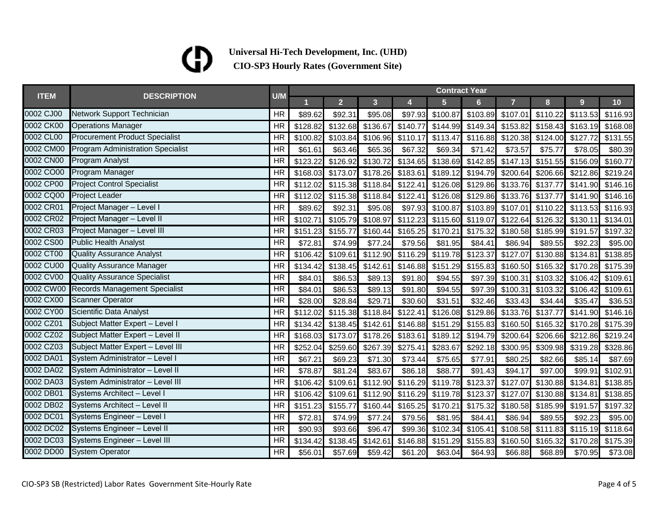|             | <b>DESCRIPTION</b>                       | U/M       | <b>Contract Year</b> |                |                         |                            |                |                |                |          |                |          |  |
|-------------|------------------------------------------|-----------|----------------------|----------------|-------------------------|----------------------------|----------------|----------------|----------------|----------|----------------|----------|--|
| <b>ITEM</b> |                                          |           |                      | 2 <sup>1</sup> | $\overline{\mathbf{3}}$ | 4                          | $5\phantom{.}$ | 6 <sup>1</sup> | $\overline{7}$ | 8        | 9 <sup>°</sup> | 10       |  |
| 0002 CJ00   | Network Support Technician               | <b>HR</b> | \$89.62              | \$92.31        | \$95.08                 | \$97.93                    | \$100.87       | \$103.89       | \$107.01       | \$110.22 | \$113.53       | \$116.93 |  |
| 0002 CK00   | <b>Operations Manager</b>                | <b>HR</b> | \$128.82             | \$132.68       | \$136.67                | \$140.77                   | \$144.99       | \$149.34       | \$153.82       | \$158.43 | \$163.19       | \$168.08 |  |
| 0002 CL00   | <b>Procurement Product Specialist</b>    | <b>HR</b> | \$100.82             | \$103.84       |                         | \$106.96 \$110.17          | \$113.47       | \$116.88       | \$120.38       | \$124.00 | \$127.72       | \$131.55 |  |
| 0002 CM00   | <b>Program Administration Specialist</b> | <b>HR</b> | \$61.61              | \$63.46        | \$65.36                 | \$67.32                    | \$69.34        | \$71.42        | \$73.57        | \$75.77  | \$78.05        | \$80.39  |  |
| 0002 CN00   | <b>Program Analyst</b>                   | <b>HR</b> | \$123.22             | \$126.92       | \$130.72                | \$134.65                   | \$138.69       | \$142.85       | \$147.13       | \$151.55 | \$156.09       | \$160.77 |  |
| 0002 CO00   | Program Manager                          | <b>HR</b> | \$168.03             | \$173.07       | \$178.26                | \$183.61                   | \$189.12       | \$194.79       | \$200.64       | \$206.66 | \$212.86       | \$219.24 |  |
| 0002 CP00   | <b>Project Control Specialist</b>        | <b>HR</b> | \$112.02             | \$115.38       |                         | \$118.84 \$122.41 \$126.08 |                | \$129.86       | \$133.76       | \$137.77 | \$141.90       | \$146.16 |  |
| 0002 CQ00   | <b>Project Leader</b>                    | <b>HR</b> | \$112.02             | \$115.38       | \$118.84                | \$122.41                   | \$126.08       | \$129.86       | \$133.76       | \$137.77 | \$141.90       | \$146.16 |  |
| 0002 CR01   | Project Manager - Level I                | <b>HR</b> | \$89.62              | \$92.31        | \$95.08                 | \$97.93                    | \$100.87       | \$103.89       | \$107.01       | \$110.22 | \$113.53       | \$116.93 |  |
| 0002 CR02   | Project Manager - Level II               | <b>HR</b> | \$102.71             | \$105.79       | \$108.97                | \$112.23                   | \$115.60       | \$119.07       | \$122.64       | \$126.32 | \$130.11       | \$134.01 |  |
| 0002 CR03   | Project Manager - Level III              | <b>HR</b> | \$151.23             | \$155.77       | \$160.44                | \$165.25                   | \$170.21       | \$175.32       | \$180.58       | \$185.99 | \$191.57       | \$197.32 |  |
| 0002 CS00   | <b>Public Health Analyst</b>             | <b>HR</b> | \$72.81              | \$74.99        | \$77.24                 | \$79.56                    | \$81.95        | \$84.41        | \$86.94        | \$89.55  | \$92.23        | \$95.00  |  |
| 0002 CT00   | <b>Quality Assurance Analyst</b>         | <b>HR</b> | \$106.42             | \$109.61       | \$112.90                | \$116.29                   | \$119.78       | \$123.37       | \$127.07       | \$130.88 | \$134.81       | \$138.85 |  |
| 0002 CU00   | <b>Quality Assurance Manager</b>         | <b>HR</b> | \$134.42             | \$138.45       | \$142.61                | \$146.88                   | \$151.29       | \$155.83       | \$160.50       | \$165.32 | \$170.28       | \$175.39 |  |
| 0002 CV00   | <b>Quality Assurance Specialist</b>      | <b>HR</b> | \$84.01              | \$86.53        | \$89.13                 | \$91.80                    | \$94.55        | \$97.39        | \$100.31       | \$103.32 | \$106.42       | \$109.61 |  |
| 0002 CW00   | <b>Records Management Specialist</b>     | <b>HR</b> | \$84.01              | \$86.53        | \$89.13                 | \$91.80                    | \$94.55        | \$97.39        | \$100.31       | \$103.32 | \$106.42       | \$109.61 |  |
| 0002 CX00   | <b>Scanner Operator</b>                  | <b>HR</b> | \$28.00              | \$28.84        | \$29.71                 | \$30.60                    | \$31.51        | \$32.46        | \$33.43        | \$34.44  | \$35.47        | \$36.53  |  |
| 0002 CY00   | Scientific Data Analyst                  | <b>HR</b> | \$112.02             | \$115.38       | \$118.84                | \$122.41                   | \$126.08       | \$129.86       | \$133.76       | \$137.77 | \$141.90       | \$146.16 |  |
| 0002 CZ01   | Subject Matter Expert - Level I          | <b>HR</b> | \$134.42             | \$138.45       | \$142.61                | \$146.88                   | \$151.29       | \$155.83       | \$160.50       | \$165.32 | \$170.28       | \$175.39 |  |
| 0002 CZ02   | Subject Matter Expert - Level II         | <b>HR</b> | \$168.03             | \$173.07       | \$178.26                | \$183.61                   | \$189.12       | \$194.79       | \$200.64       | \$206.66 | \$212.86       | \$219.24 |  |
| 0002 CZ03   | Subject Matter Expert - Level III        | <b>HR</b> | \$252.04             | \$259.60       | \$267.39                | \$275.41                   | \$283.67       | \$292.18       | \$300.95       | \$309.98 | \$319.28       | \$328.86 |  |
| 0002 DA01   | System Administrator - Level I           | <b>HR</b> | \$67.21              | \$69.23        | \$71.30                 | \$73.44                    | \$75.65        | \$77.91        | \$80.25        | \$82.66  | \$85.14        | \$87.69  |  |
| 0002 DA02   | System Administrator - Level II          | <b>HR</b> | \$78.87              | \$81.24        | \$83.67                 | \$86.18                    | \$88.77        | \$91.43        | \$94.17        | \$97.00  | \$99.91        | \$102.91 |  |
| 0002 DA03   | System Administrator - Level III         | <b>HR</b> | \$106.42             | \$109.61       | \$112.90                | \$116.29                   | \$119.78       | \$123.37       | \$127.07       | \$130.88 | \$134.81       | \$138.85 |  |
| 0002 DB01   | Systems Architect - Level I              | <b>HR</b> | \$106.42             | \$109.61       | \$112.90                | \$116.29                   | \$119.78       | \$123.37       | \$127.07       | \$130.88 | \$134.81       | \$138.85 |  |
| 0002 DB02   | Systems Architect - Level II             | <b>HR</b> | \$151.23             | \$155.77       | \$160.44]               | \$165.25                   | \$170.21       | \$175.32       | \$180.58       | \$185.99 | \$191.57       | \$197.32 |  |
| 0002 DC01   | Systems Engineer - Level I               | <b>HR</b> | \$72.81              | \$74.99        | \$77.24                 | \$79.56                    | \$81.95        | \$84.41        | \$86.94        | \$89.55  | \$92.23        | \$95.00  |  |
| 0002 DC02   | Systems Engineer - Level II              | <b>HR</b> | \$90.93              | \$93.66        | \$96.47                 | \$99.36                    | \$102.34       | \$105.41       | \$108.58       | \$111.83 | \$115.19       | \$118.64 |  |
| 0002 DC03   | Systems Engineer - Level III             | <b>HR</b> | \$134.42             | \$138.45       | \$142.61                | \$146.88                   | \$151.29       | \$155.83       | \$160.50       | \$165.32 | \$170.28       | \$175.39 |  |
| 0002 DD00   | <b>System Operator</b>                   | <b>HR</b> | \$56.01              | \$57.69        | \$59.42                 | \$61.20                    | \$63.04        | \$64.93        | \$66.88        | \$68.89  | \$70.95        | \$73.08  |  |